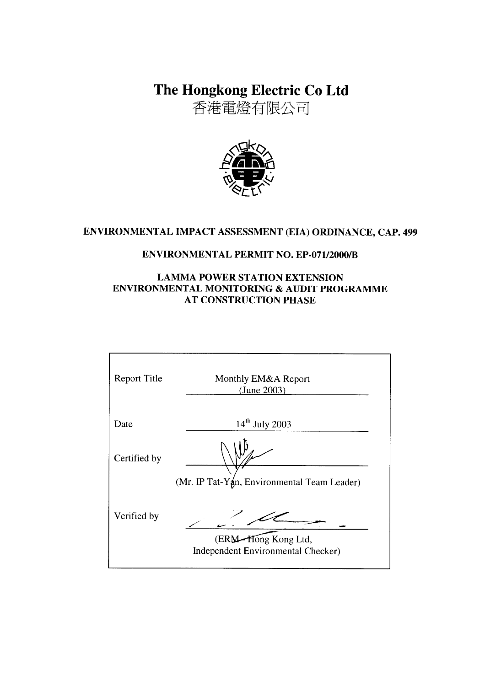The Hongkong Electric Co Ltd

香港電燈有限公司



# ENVIRONMENTAL IMPACT ASSESSMENT (EIA) ORDINANCE, CAP. 499

### **ENVIRONMENTAL PERMIT NO. EP-071/2000/B**

### **LAMMA POWER STATION EXTENSION** ENVIRONMENTAL MONITORING & AUDIT PROGRAMME **AT CONSTRUCTION PHASE**

| <b>Report Title</b> | Monthly EM&A Report<br>(June 2003)                        |
|---------------------|-----------------------------------------------------------|
| Date                | $14th$ July 2003                                          |
| Certified by        |                                                           |
|                     | (Mr. IP Tat-Yan, Environmental Team Leader)               |
| Verified by         | (ERM-Hong Kong Ltd,<br>Independent Environmental Checker) |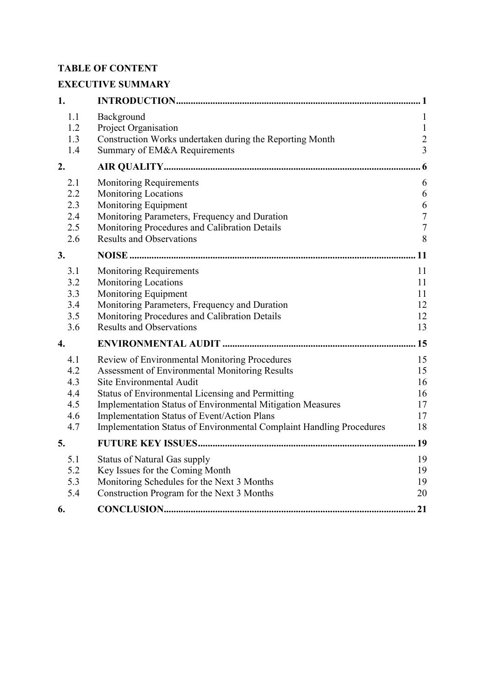# **TABLE OF CONTENT**

# **EXECUTIVE SUMMARY**

| 1.                                            |                                                                                                                                                                                                                                                                                                                                                                      |                                                       |
|-----------------------------------------------|----------------------------------------------------------------------------------------------------------------------------------------------------------------------------------------------------------------------------------------------------------------------------------------------------------------------------------------------------------------------|-------------------------------------------------------|
| 1.1<br>1.2<br>1.3<br>1.4                      | Background<br>Project Organisation<br>Construction Works undertaken during the Reporting Month<br>Summary of EM&A Requirements                                                                                                                                                                                                                                       | 1<br>$\mathbf{1}$<br>$\overline{c}$<br>$\overline{3}$ |
| 2.                                            |                                                                                                                                                                                                                                                                                                                                                                      | 6                                                     |
| 2.1<br>2.2<br>2.3<br>2.4<br>2.5<br>2.6        | <b>Monitoring Requirements</b><br><b>Monitoring Locations</b><br>Monitoring Equipment<br>Monitoring Parameters, Frequency and Duration<br>Monitoring Procedures and Calibration Details<br><b>Results and Observations</b>                                                                                                                                           | 6<br>6<br>6<br>$\sqrt{ }$<br>$\overline{7}$<br>8      |
| 3.                                            |                                                                                                                                                                                                                                                                                                                                                                      | 11                                                    |
| 3.1<br>3.2<br>3.3<br>3.4<br>3.5<br>3.6        | <b>Monitoring Requirements</b><br><b>Monitoring Locations</b><br>Monitoring Equipment<br>Monitoring Parameters, Frequency and Duration<br>Monitoring Procedures and Calibration Details<br><b>Results and Observations</b>                                                                                                                                           | 11<br>11<br>11<br>12<br>12<br>13                      |
| 4.                                            |                                                                                                                                                                                                                                                                                                                                                                      | .15                                                   |
| 4.1<br>4.2<br>4.3<br>4.4<br>4.5<br>4.6<br>4.7 | Review of Environmental Monitoring Procedures<br>Assessment of Environmental Monitoring Results<br>Site Environmental Audit<br>Status of Environmental Licensing and Permitting<br>Implementation Status of Environmental Mitigation Measures<br>Implementation Status of Event/Action Plans<br>Implementation Status of Environmental Complaint Handling Procedures | 15<br>15<br>16<br>16<br>17<br>17<br>18                |
| 5.                                            |                                                                                                                                                                                                                                                                                                                                                                      | .19                                                   |
| 5.1<br>5.2<br>5.3<br>5.4                      | <b>Status of Natural Gas supply</b><br>Key Issues for the Coming Month<br>Monitoring Schedules for the Next 3 Months<br>Construction Program for the Next 3 Months                                                                                                                                                                                                   | 19<br>19<br>19<br>20                                  |
| 6.                                            |                                                                                                                                                                                                                                                                                                                                                                      | 21                                                    |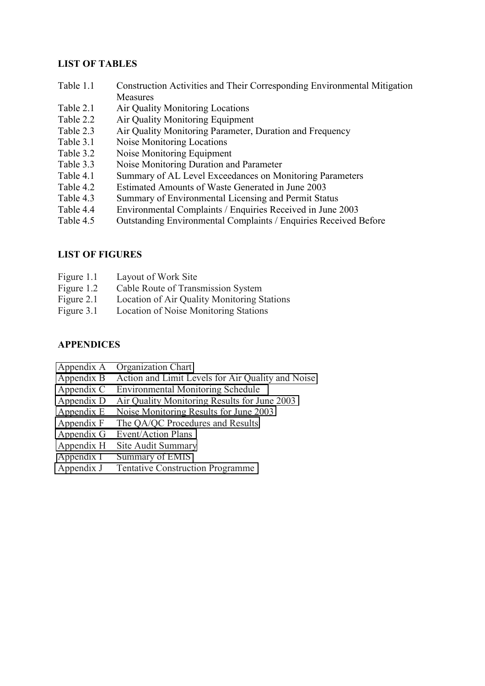### **LIST OF TABLES**

- Table 1.1 Construction Activities and Their Corresponding Environmental Mitigation Measures
- Table 2.1 Air Quality Monitoring Locations
- Table 2.2 Air Quality Monitoring Equipment
- Table 2.3 Air Quality Monitoring Parameter, Duration and Frequency
- Table 3.1 Noise Monitoring Locations
- Table 3.2 Noise Monitoring Equipment
- Table 3.3 Noise Monitoring Duration and Parameter
- Table 4.1 Summary of AL Level Exceedances on Monitoring Parameters
- Table 4.2 Estimated Amounts of Waste Generated in June 2003
- Table 4.3 Summary of Environmental Licensing and Permit Status
- Table 4.4 Environmental Complaints / Enquiries Received in June 2003
- Table 4.5 Outstanding Environmental Complaints / Enquiries Received Before

### **LIST OF FIGURES**

- Figure 1.1 Layout of Work Site
- Figure 1.2 Cable Route of Transmission System
- Figure 2.1 Location of Air Quality Monitoring Stations
- Figure 3.1 Location of Noise Monitoring Stations

### **APPENDICES**

- Appendix A Organization Chart
- Appendix B Action and Limit Levels for Air Quality and Noise
- Appendix C Environmental Monitoring Schedule
- Appendix D Air Quality Monitoring Results for June 2003
- Appendix E Noise Monitoring Results for June 2003
- Appendix F The QA/QC Procedures and Results
- Appendix G Event/Action Plans
- Appendix H Site Audit Summary
- Appendix I Summary of EMIS
- Appendix J Tentative Construction Programme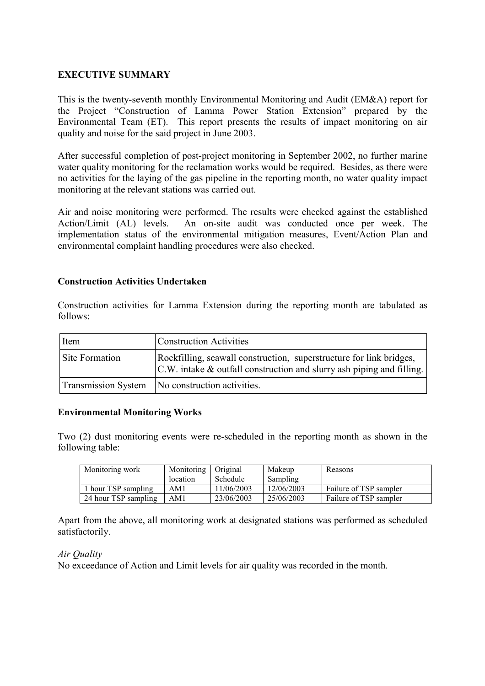### **EXECUTIVE SUMMARY**

This is the twenty-seventh monthly Environmental Monitoring and Audit (EM&A) report for the Project "Construction of Lamma Power Station Extension" prepared by the Environmental Team (ET). This report presents the results of impact monitoring on air quality and noise for the said project in June 2003.

After successful completion of post-project monitoring in September 2002, no further marine water quality monitoring for the reclamation works would be required. Besides, as there were no activities for the laying of the gas pipeline in the reporting month, no water quality impact monitoring at the relevant stations was carried out.

Air and noise monitoring were performed. The results were checked against the established Action/Limit (AL) levels. An on-site audit was conducted once per week. The implementation status of the environmental mitigation measures, Event/Action Plan and environmental complaint handling procedures were also checked.

#### **Construction Activities Undertaken**

Construction activities for Lamma Extension during the reporting month are tabulated as follows:

| Item           | <b>Construction Activities</b>                                                                                                                     |
|----------------|----------------------------------------------------------------------------------------------------------------------------------------------------|
| Site Formation | Rockfilling, seawall construction, superstructure for link bridges,<br>$ C.W $ intake $\&$ outfall construction and slurry ash piping and filling. |
|                | Transmission System   No construction activities.                                                                                                  |

#### **Environmental Monitoring Works**

Two (2) dust monitoring events were re-scheduled in the reporting month as shown in the following table:

| Monitoring work      | Monitoring   Original |            | Makeup     | Reasons                |
|----------------------|-----------------------|------------|------------|------------------------|
|                      | location              | Schedule   | Sampling   |                        |
| 1 hour TSP sampling  | AM1                   | 11/06/2003 | 12/06/2003 | Failure of TSP sampler |
| 24 hour TSP sampling | AM1                   | 23/06/2003 | 25/06/2003 | Failure of TSP sampler |

Apart from the above, all monitoring work at designated stations was performed as scheduled satisfactorily.

#### *Air Quality*

No exceedance of Action and Limit levels for air quality was recorded in the month.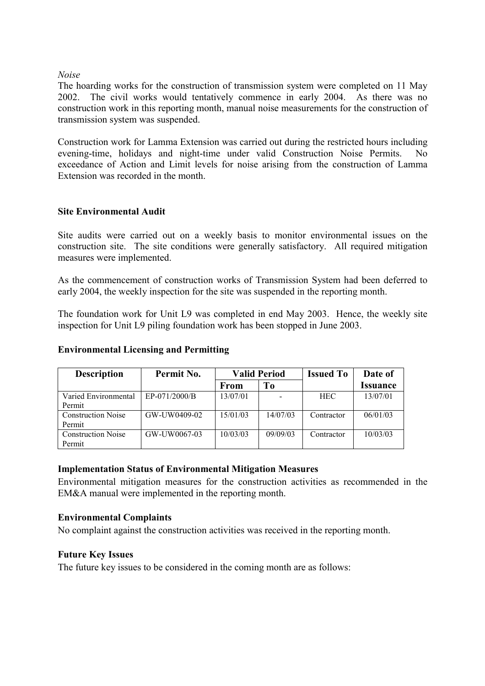#### *Noise*

The hoarding works for the construction of transmission system were completed on 11 May 2002. The civil works would tentatively commence in early 2004. As there was no construction work in this reporting month, manual noise measurements for the construction of transmission system was suspended.

Construction work for Lamma Extension was carried out during the restricted hours including evening-time, holidays and night-time under valid Construction Noise Permits. No exceedance of Action and Limit levels for noise arising from the construction of Lamma Extension was recorded in the month.

#### **Site Environmental Audit**

Site audits were carried out on a weekly basis to monitor environmental issues on the construction site. The site conditions were generally satisfactory. All required mitigation measures were implemented.

As the commencement of construction works of Transmission System had been deferred to early 2004, the weekly inspection for the site was suspended in the reporting month.

The foundation work for Unit L9 was completed in end May 2003. Hence, the weekly site inspection for Unit L9 piling foundation work has been stopped in June 2003.

| <b>Description</b>        | Permit No.    | <b>Valid Period</b> |                | <b>Issued To</b> | Date of                       |
|---------------------------|---------------|---------------------|----------------|------------------|-------------------------------|
|                           |               | <b>From</b>         | T <sub>0</sub> |                  | <i><u><b>Issuance</b></u></i> |
| Varied Environmental      | EP-071/2000/B | 13/07/01            |                | <b>HEC</b>       | 13/07/01                      |
| Permit                    |               |                     |                |                  |                               |
| <b>Construction Noise</b> | GW-UW0409-02  | 15/01/03            | 14/07/03       | Contractor       | 06/01/03                      |
| Permit                    |               |                     |                |                  |                               |
| <b>Construction Noise</b> | GW-UW0067-03  | 10/03/03            | 09/09/03       | Contractor       | 10/03/03                      |
| Permit                    |               |                     |                |                  |                               |

### **Environmental Licensing and Permitting**

### **Implementation Status of Environmental Mitigation Measures**

Environmental mitigation measures for the construction activities as recommended in the EM&A manual were implemented in the reporting month.

#### **Environmental Complaints**

No complaint against the construction activities was received in the reporting month.

### **Future Key Issues**

The future key issues to be considered in the coming month are as follows: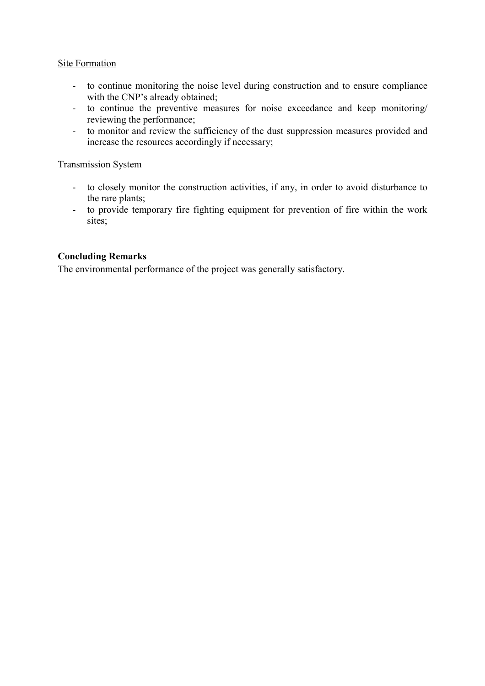### **Site Formation**

- to continue monitoring the noise level during construction and to ensure compliance with the CNP's already obtained;
- to continue the preventive measures for noise exceedance and keep monitoring/ reviewing the performance;
- to monitor and review the sufficiency of the dust suppression measures provided and increase the resources accordingly if necessary;

#### Transmission System

- to closely monitor the construction activities, if any, in order to avoid disturbance to the rare plants;
- to provide temporary fire fighting equipment for prevention of fire within the work sites;

### **Concluding Remarks**

The environmental performance of the project was generally satisfactory.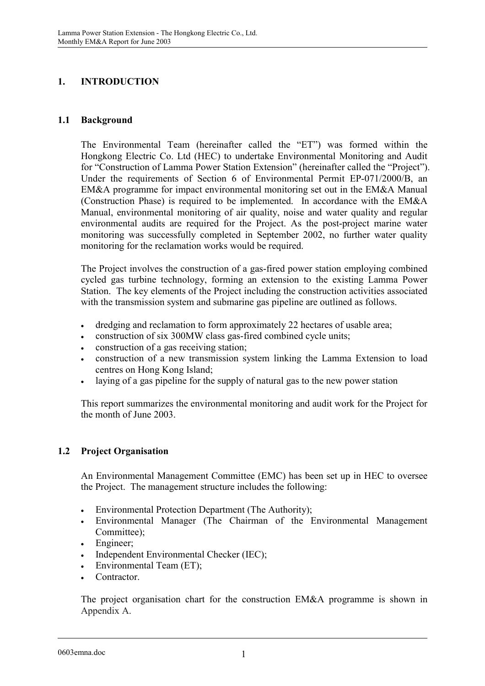# **1. INTRODUCTION**

### **1.1 Background**

The Environmental Team (hereinafter called the "ET") was formed within the Hongkong Electric Co. Ltd (HEC) to undertake Environmental Monitoring and Audit for "Construction of Lamma Power Station Extension" (hereinafter called the "Project"). Under the requirements of Section 6 of Environmental Permit EP-071/2000/B, an EM&A programme for impact environmental monitoring set out in the EM&A Manual (Construction Phase) is required to be implemented. In accordance with the EM&A Manual, environmental monitoring of air quality, noise and water quality and regular environmental audits are required for the Project. As the post-project marine water monitoring was successfully completed in September 2002, no further water quality monitoring for the reclamation works would be required.

The Project involves the construction of a gas-fired power station employing combined cycled gas turbine technology, forming an extension to the existing Lamma Power Station. The key elements of the Project including the construction activities associated with the transmission system and submarine gas pipeline are outlined as follows.

- dredging and reclamation to form approximately 22 hectares of usable area;
- construction of six 300MW class gas-fired combined cycle units;
- construction of a gas receiving station;
- construction of a new transmission system linking the Lamma Extension to load centres on Hong Kong Island;
- $\bullet$ laying of a gas pipeline for the supply of natural gas to the new power station

This report summarizes the environmental monitoring and audit work for the Project for the month of June 2003.

### **1.2 Project Organisation**

An Environmental Management Committee (EMC) has been set up in HEC to oversee the Project. The management structure includes the following:

- $\bullet$ Environmental Protection Department (The Authority);
- - Environmental Manager (The Chairman of the Environmental Management Committee);
- -Engineer;
- $\bullet$ Independent Environmental Checker (IEC);
- $\bullet$ Environmental Team (ET);
- -**Contractor**

The project organisation chart for the construction EM&A programme is shown in Appendix A.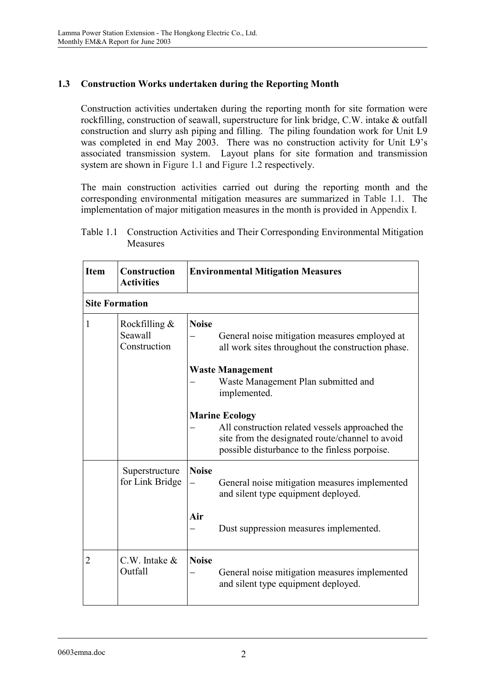# **1.3 Construction Works undertaken during the Reporting Month**

Construction activities undertaken during the reporting month for site formation were rockfilling, construction of seawall, superstructure for link bridge, C.W. intake & outfall construction and slurry ash piping and filling. The piling foundation work for Unit L9 was completed in end May 2003. There was no construction activity for Unit L9's associated transmission system. Layout plans for site formation and transmission system are shown in Figure 1.1 and Figure 1.2 respectively.

The main construction activities carried out during the reporting month and the corresponding environmental mitigation measures are summarized in Table 1.1. The implementation of major mitigation measures in the month is provided in Appendix I.

| Table 1.1 Construction Activities and Their Corresponding Environmental Mitigation |
|------------------------------------------------------------------------------------|
| <b>Measures</b>                                                                    |

| <b>Item</b>    | Construction<br><b>Activities</b>          | <b>Environmental Mitigation Measures</b>                                                                                                                                     |  |  |
|----------------|--------------------------------------------|------------------------------------------------------------------------------------------------------------------------------------------------------------------------------|--|--|
|                | <b>Site Formation</b>                      |                                                                                                                                                                              |  |  |
| 1              | Rockfilling $&$<br>Seawall<br>Construction | <b>Noise</b><br>General noise mitigation measures employed at<br>all work sites throughout the construction phase.                                                           |  |  |
|                |                                            | <b>Waste Management</b><br>Waste Management Plan submitted and<br>implemented.                                                                                               |  |  |
|                |                                            | <b>Marine Ecology</b><br>All construction related vessels approached the<br>site from the designated route/channel to avoid<br>possible disturbance to the finless porpoise. |  |  |
|                | Superstructure<br>for Link Bridge          | <b>Noise</b><br>General noise mitigation measures implemented<br>and silent type equipment deployed.                                                                         |  |  |
|                |                                            | Air<br>Dust suppression measures implemented.                                                                                                                                |  |  |
| $\overline{2}$ | $C.W.$ Intake $&$<br>Outfall               | <b>Noise</b><br>General noise mitigation measures implemented<br>and silent type equipment deployed.                                                                         |  |  |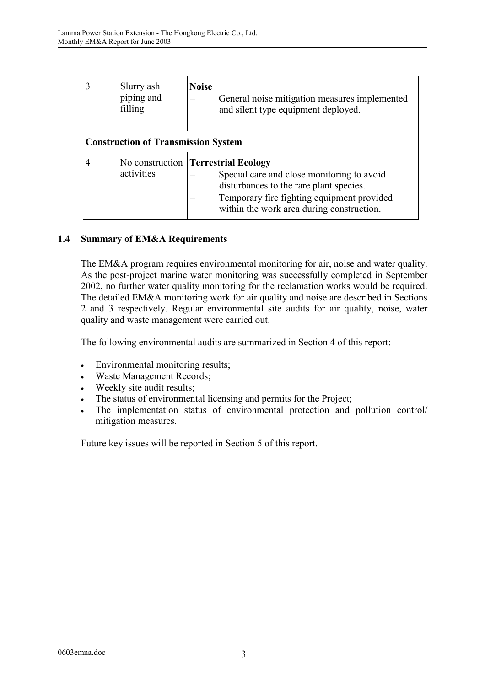| Slurry ash<br>piping and<br>filling        | <b>Noise</b><br>General noise mitigation measures implemented<br>and silent type equipment deployed.                                                                                                                      |  |  |  |
|--------------------------------------------|---------------------------------------------------------------------------------------------------------------------------------------------------------------------------------------------------------------------------|--|--|--|
| <b>Construction of Transmission System</b> |                                                                                                                                                                                                                           |  |  |  |
| activities                                 | No construction   Terrestrial Ecology<br>Special care and close monitoring to avoid<br>disturbances to the rare plant species.<br>Temporary fire fighting equipment provided<br>within the work area during construction. |  |  |  |

# **1.4 Summary of EM&A Requirements**

The EM&A program requires environmental monitoring for air, noise and water quality. As the post-project marine water monitoring was successfully completed in September 2002, no further water quality monitoring for the reclamation works would be required. The detailed EM&A monitoring work for air quality and noise are described in Sections 2 and 3 respectively. Regular environmental site audits for air quality, noise, water quality and waste management were carried out.

The following environmental audits are summarized in Section 4 of this report:

- $\bullet$ Environmental monitoring results;
- $\bullet$ Waste Management Records;
- $\bullet$ Weekly site audit results;
- $\bullet$ The status of environmental licensing and permits for the Project;
- - The implementation status of environmental protection and pollution control/ mitigation measures.

Future key issues will be reported in Section 5 of this report.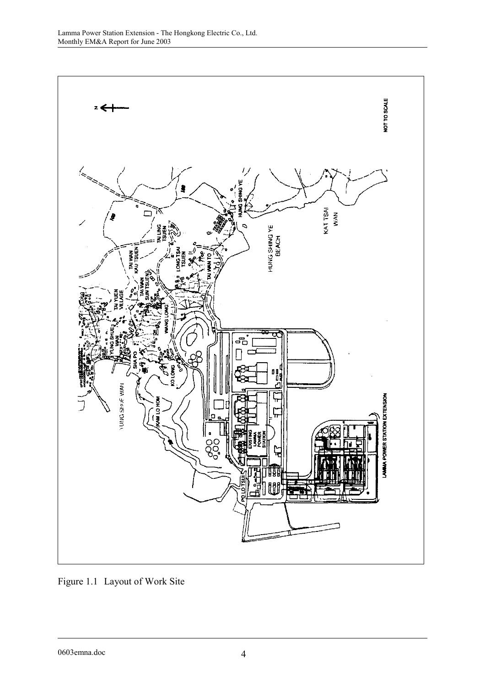

Figure 1.1 Layout of Work Site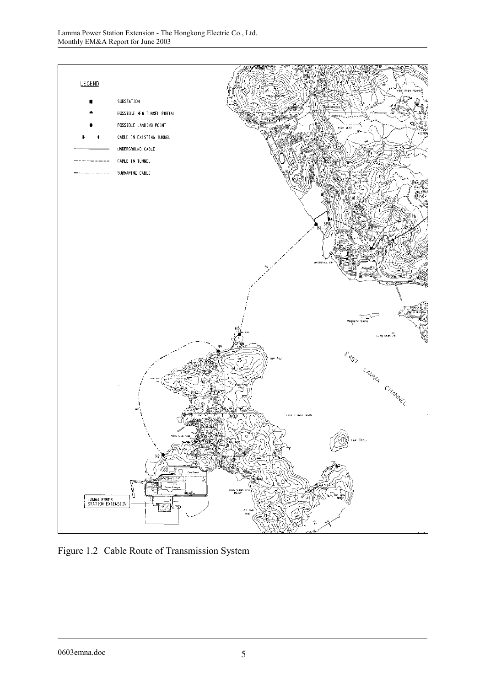

Figure 1.2 Cable Route of Transmission System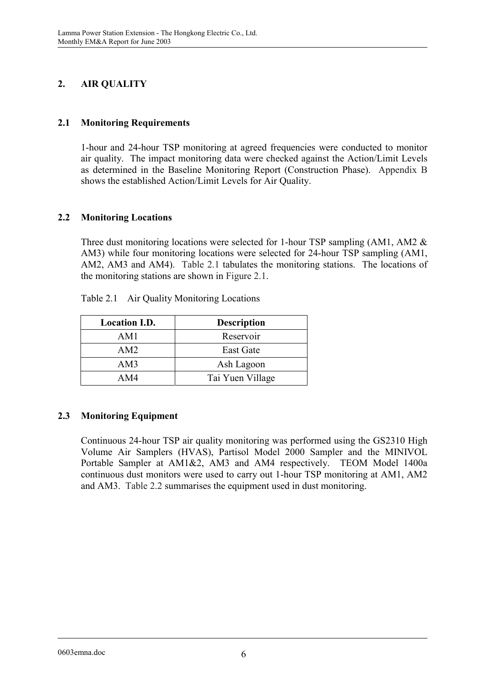# **2. AIR QUALITY**

### **2.1 Monitoring Requirements**

1-hour and 24-hour TSP monitoring at agreed frequencies were conducted to monitor air quality. The impact monitoring data were checked against the Action/Limit Levels as determined in the Baseline Monitoring Report (Construction Phase). Appendix B shows the established Action/Limit Levels for Air Quality.

### **2.2 Monitoring Locations**

Three dust monitoring locations were selected for 1-hour TSP sampling (AM1, AM2 & AM3) while four monitoring locations were selected for 24-hour TSP sampling (AM1, AM2, AM3 and AM4). Table 2.1 tabulates the monitoring stations. The locations of the monitoring stations are shown in Figure 2.1.

| <b>Location I.D.</b> | <b>Description</b> |
|----------------------|--------------------|
| AM1                  | Reservoir          |
| AM2                  | East Gate          |
| AM3                  | Ash Lagoon         |
| AM4                  | Tai Yuen Village   |

Table 2.1 Air Quality Monitoring Locations

# **2.3 Monitoring Equipment**

Continuous 24-hour TSP air quality monitoring was performed using the GS2310 High Volume Air Samplers (HVAS), Partisol Model 2000 Sampler and the MINIVOL Portable Sampler at AM1&2, AM3 and AM4 respectively. TEOM Model 1400a continuous dust monitors were used to carry out 1-hour TSP monitoring at AM1, AM2 and AM3. Table 2.2 summarises the equipment used in dust monitoring.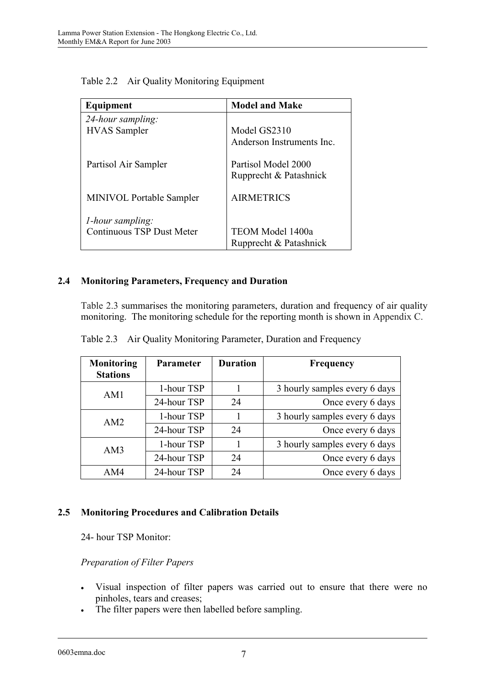| Equipment                        | <b>Model and Make</b>     |
|----------------------------------|---------------------------|
| 24-hour sampling:                |                           |
| <b>HVAS</b> Sampler              | Model GS2310              |
|                                  | Anderson Instruments Inc. |
| Partisol Air Sampler             | Partisol Model 2000       |
|                                  | Rupprecht & Patashnick    |
| <b>MINIVOL Portable Sampler</b>  | <b>AIRMETRICS</b>         |
| <i>l</i> -hour sampling:         |                           |
| <b>Continuous TSP Dust Meter</b> | TEOM Model 1400a          |
|                                  | Rupprecht & Patashnick    |

| Table 2.2 Air Quality Monitoring Equipment |  |
|--------------------------------------------|--|
|--------------------------------------------|--|

### **2.4 Monitoring Parameters, Frequency and Duration**

Table 2.3 summarises the monitoring parameters, duration and frequency of air quality monitoring. The monitoring schedule for the reporting month is shown in Appendix C.

| Monitoring<br><b>Stations</b> | <b>Parameter</b> | <b>Duration</b> | <b>Frequency</b>              |
|-------------------------------|------------------|-----------------|-------------------------------|
| AM1                           | 1-hour TSP       |                 | 3 hourly samples every 6 days |
|                               | 24-hour TSP      | 24              | Once every 6 days             |
| AM <sub>2</sub>               | 1-hour TSP       |                 | 3 hourly samples every 6 days |
|                               | 24-hour TSP      | 24              | Once every 6 days             |
| AM3                           | 1-hour TSP       |                 | 3 hourly samples every 6 days |
|                               | 24-hour TSP      | 24              | Once every 6 days             |
| AM4                           | 24-hour TSP      | 24              | Once every 6 days             |

Table 2.3 Air Quality Monitoring Parameter, Duration and Frequency

### **2.5 Monitoring Procedures and Calibration Details**

24- hour TSP Monitor:

### *Preparation of Filter Papers*

- $\bullet$  Visual inspection of filter papers was carried out to ensure that there were no pinholes, tears and creases;
- $\bullet$ The filter papers were then labelled before sampling.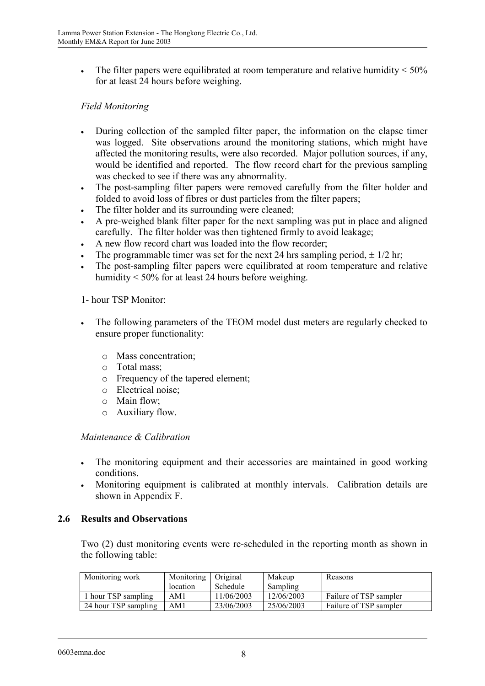$\bullet$ The filter papers were equilibrated at room temperature and relative humidity  $\leq 50\%$ for at least 24 hours before weighing.

### *Field Monitoring*

- $\bullet$  During collection of the sampled filter paper, the information on the elapse timer was logged. Site observations around the monitoring stations, which might have affected the monitoring results, were also recorded. Major pollution sources, if any, would be identified and reported. The flow record chart for the previous sampling was checked to see if there was any abnormality.
- $\bullet$  The post-sampling filter papers were removed carefully from the filter holder and folded to avoid loss of fibres or dust particles from the filter papers;
- -The filter holder and its surrounding were cleaned;
- - A pre-weighed blank filter paper for the next sampling was put in place and aligned carefully. The filter holder was then tightened firmly to avoid leakage;
- $\bullet$ A new flow record chart was loaded into the flow recorder;
- $\bullet$ The programmable timer was set for the next 24 hrs sampling period,  $\pm$  1/2 hr;
- $\bullet$  The post-sampling filter papers were equilibrated at room temperature and relative humidity < 50% for at least 24 hours before weighing.

1- hour TSP Monitor:

- $\bullet$  The following parameters of the TEOM model dust meters are regularly checked to ensure proper functionality:
	- o Mass concentration;
	- o Total mass;
	- o Frequency of the tapered element;
	- o Electrical noise;
	- o Main flow;
	- o Auxiliary flow.

#### *Maintenance & Calibration*

- $\bullet$  The monitoring equipment and their accessories are maintained in good working conditions.
- $\ddot{\phantom{0}}$  Monitoring equipment is calibrated at monthly intervals. Calibration details are shown in Appendix F.

### **2.6 Results and Observations**

Two (2) dust monitoring events were re-scheduled in the reporting month as shown in the following table:

| Monitoring work      | Monitoring   Original |            | Makeup     | Reasons                |
|----------------------|-----------------------|------------|------------|------------------------|
|                      | location              | Schedule   | Sampling   |                        |
| 1 hour TSP sampling  | AM1                   | 11/06/2003 | 12/06/2003 | Failure of TSP sampler |
| 24 hour TSP sampling | AM1                   | 23/06/2003 | 25/06/2003 | Failure of TSP sampler |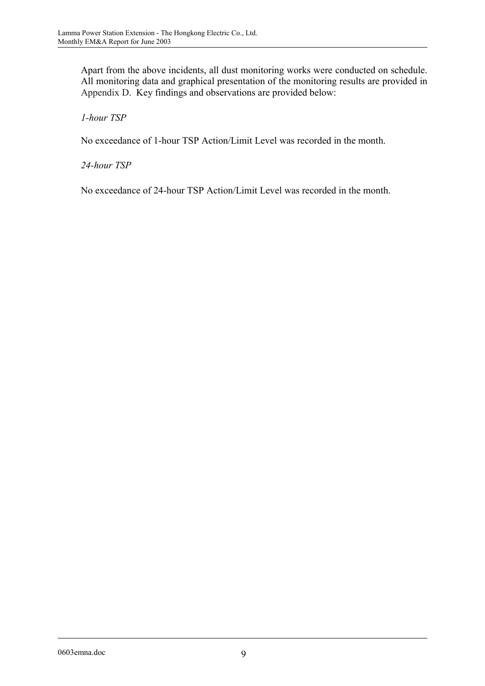Apart from the above incidents, all dust monitoring works were conducted on schedule. All monitoring data and graphical presentation of the monitoring results are provided in Appendix D. Key findings and observations are provided below:

### *1-hour TSP*

No exceedance of 1-hour TSP Action/Limit Level was recorded in the month.

*24-hour TSP* 

No exceedance of 24-hour TSP Action/Limit Level was recorded in the month.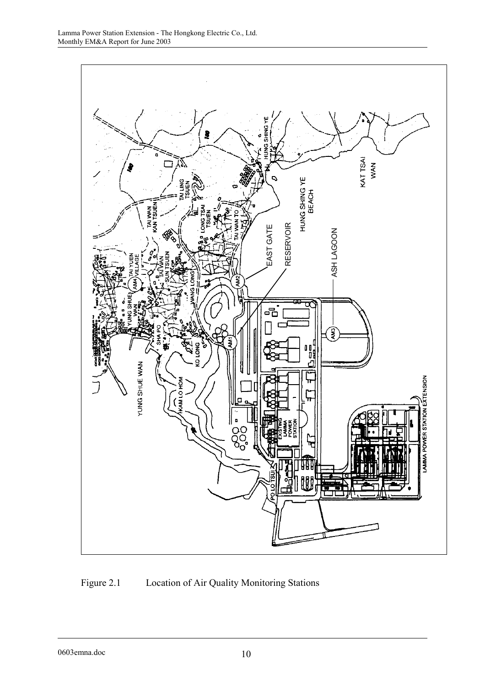

Figure 2.1 Location of Air Quality Monitoring Stations

0603emna.doc 10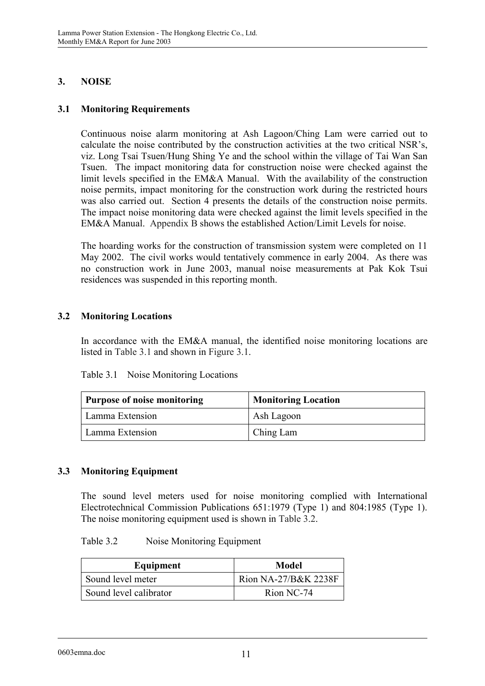# **3. NOISE**

### **3.1 Monitoring Requirements**

Continuous noise alarm monitoring at Ash Lagoon/Ching Lam were carried out to calculate the noise contributed by the construction activities at the two critical NSR's, viz. Long Tsai Tsuen/Hung Shing Ye and the school within the village of Tai Wan San Tsuen. The impact monitoring data for construction noise were checked against the limit levels specified in the EM&A Manual. With the availability of the construction noise permits, impact monitoring for the construction work during the restricted hours was also carried out. Section 4 presents the details of the construction noise permits. The impact noise monitoring data were checked against the limit levels specified in the EM&A Manual. Appendix B shows the established Action/Limit Levels for noise.

The hoarding works for the construction of transmission system were completed on 11 May 2002. The civil works would tentatively commence in early 2004. As there was no construction work in June 2003, manual noise measurements at Pak Kok Tsui residences was suspended in this reporting month.

### **3.2 Monitoring Locations**

In accordance with the EM&A manual, the identified noise monitoring locations are listed in Table 3.1 and shown in Figure 3.1.

| Table 3.1<br>Noise Monitoring Locations |  |
|-----------------------------------------|--|
|-----------------------------------------|--|

| <b>Purpose of noise monitoring</b> | <b>Monitoring Location</b> |  |  |
|------------------------------------|----------------------------|--|--|
| Lamma Extension                    | Ash Lagoon                 |  |  |
| Lamma Extension                    | Ching Lam                  |  |  |

### **3.3 Monitoring Equipment**

The sound level meters used for noise monitoring complied with International Electrotechnical Commission Publications 651:1979 (Type 1) and 804:1985 (Type 1). The noise monitoring equipment used is shown in Table 3.2.

### Table 3.2 Noise Monitoring Equipment

| Equipment              | <b>Model</b>         |
|------------------------|----------------------|
| Sound level meter      | Rion NA-27/B&K 2238F |
| Sound level calibrator | Rion NC-74           |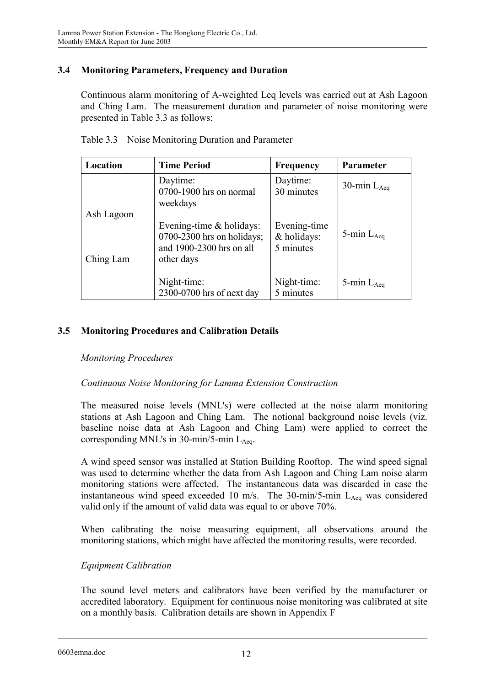### **3.4 Monitoring Parameters, Frequency and Duration**

Continuous alarm monitoring of A-weighted Leq levels was carried out at Ash Lagoon and Ching Lam. The measurement duration and parameter of noise monitoring were presented in Table 3.3 as follows:

| Location                | <b>Time Period</b>                                                                                    |                                          | Parameter        |
|-------------------------|-------------------------------------------------------------------------------------------------------|------------------------------------------|------------------|
|                         | Daytime:<br>0700-1900 hrs on normal<br>weekdays                                                       | Daytime:<br>30 minutes                   | 30-min $L_{Aea}$ |
| Ash Lagoon<br>Ching Lam | Evening-time $\&$ holidays:<br>$0700-2300$ hrs on holidays;<br>and 1900-2300 hrs on all<br>other days | Evening-time<br>& holidays:<br>5 minutes | 5-min $L_{Aeq}$  |
|                         | Night-time:<br>2300-0700 hrs of next day                                                              | Night-time:<br>5 minutes                 | 5-min $L_{Aea}$  |

Table 3.3 Noise Monitoring Duration and Parameter

### **3.5 Monitoring Procedures and Calibration Details**

### *Monitoring Procedures*

### *Continuous Noise Monitoring for Lamma Extension Construction*

The measured noise levels (MNL's) were collected at the noise alarm monitoring stations at Ash Lagoon and Ching Lam. The notional background noise levels (viz. baseline noise data at Ash Lagoon and Ching Lam) were applied to correct the corresponding MNL's in 30-min/5-min  $L_{Aea}$ .

A wind speed sensor was installed at Station Building Rooftop. The wind speed signal was used to determine whether the data from Ash Lagoon and Ching Lam noise alarm monitoring stations were affected. The instantaneous data was discarded in case the instantaneous wind speed exceeded 10 m/s. The 30-min/5-min  $L_{A_{eq}}$  was considered valid only if the amount of valid data was equal to or above 70%.

When calibrating the noise measuring equipment, all observations around the monitoring stations, which might have affected the monitoring results, were recorded.

### *Equipment Calibration*

The sound level meters and calibrators have been verified by the manufacturer or accredited laboratory. Equipment for continuous noise monitoring was calibrated at site on a monthly basis. Calibration details are shown in Appendix F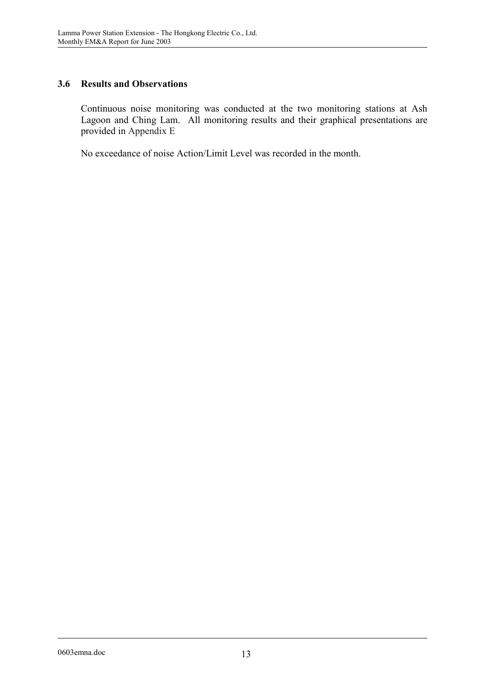### **3.6 Results and Observations**

Continuous noise monitoring was conducted at the two monitoring stations at Ash Lagoon and Ching Lam. All monitoring results and their graphical presentations are provided in Appendix E

No exceedance of noise Action/Limit Level was recorded in the month.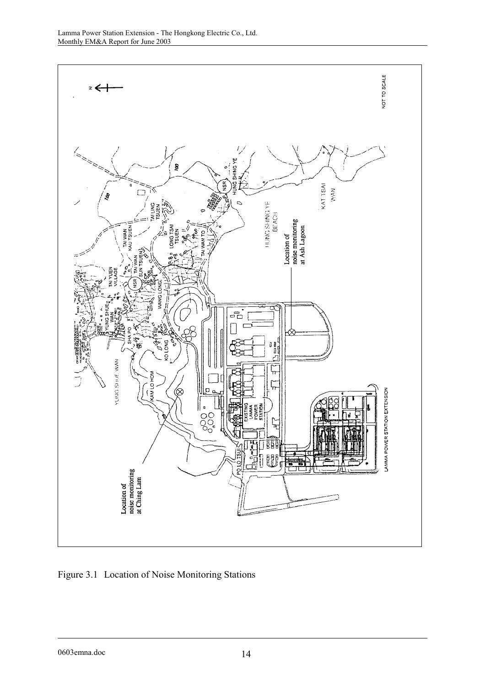

Figure 3.1 Location of Noise Monitoring Stations

0603emna.doc 14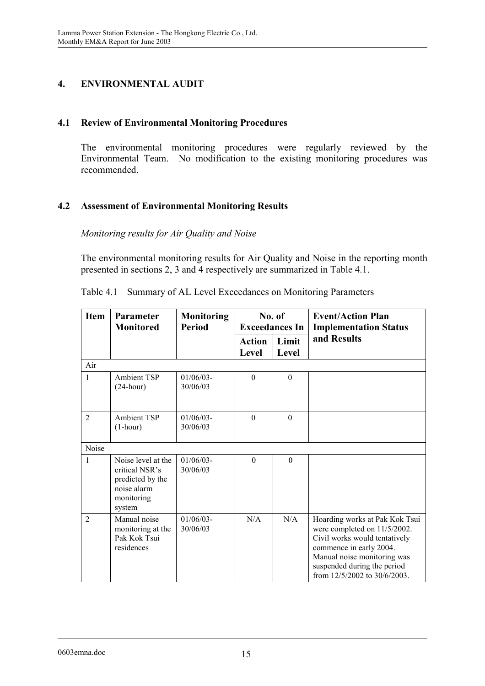# **4. ENVIRONMENTAL AUDIT**

### **4.1 Review of Environmental Monitoring Procedures**

The environmental monitoring procedures were regularly reviewed by the Environmental Team. No modification to the existing monitoring procedures was recommended.

### **4.2 Assessment of Environmental Monitoring Results**

*Monitoring results for Air Quality and Noise* 

The environmental monitoring results for Air Quality and Noise in the reporting month presented in sections 2, 3 and 4 respectively are summarized in Table 4.1.

| <b>Item</b>    | Parameter<br><b>Monitored</b>                                                                   | <b>Monitoring</b><br><b>Period</b> | No. of<br><b>Exceedances In</b> |                | <b>Event/Action Plan</b><br><b>Implementation Status</b>                                                                                                                                                                 |
|----------------|-------------------------------------------------------------------------------------------------|------------------------------------|---------------------------------|----------------|--------------------------------------------------------------------------------------------------------------------------------------------------------------------------------------------------------------------------|
|                |                                                                                                 |                                    | <b>Action</b><br><b>Level</b>   | Limit<br>Level | and Results                                                                                                                                                                                                              |
| Air            |                                                                                                 |                                    |                                 |                |                                                                                                                                                                                                                          |
| 1              | <b>Ambient TSP</b><br>$(24$ -hour)                                                              | $01/06/03$ -<br>30/06/03           | $\theta$                        | $\mathbf{0}$   |                                                                                                                                                                                                                          |
| $\overline{2}$ | <b>Ambient TSP</b><br>$(1-hour)$                                                                | $01/06/03$ -<br>30/06/03           | $\theta$                        | $\Omega$       |                                                                                                                                                                                                                          |
| Noise          |                                                                                                 |                                    |                                 |                |                                                                                                                                                                                                                          |
| 1              | Noise level at the<br>critical NSR's<br>predicted by the<br>noise alarm<br>monitoring<br>system | $01/06/03$ -<br>30/06/03           | $\Omega$                        | $\Omega$       |                                                                                                                                                                                                                          |
| $\overline{2}$ | Manual noise<br>monitoring at the<br>Pak Kok Tsui<br>residences                                 | $01/06/03$ -<br>30/06/03           | N/A                             | N/A            | Hoarding works at Pak Kok Tsui<br>were completed on 11/5/2002.<br>Civil works would tentatively<br>commence in early 2004.<br>Manual noise monitoring was<br>suspended during the period<br>from 12/5/2002 to 30/6/2003. |

Table 4.1 Summary of AL Level Exceedances on Monitoring Parameters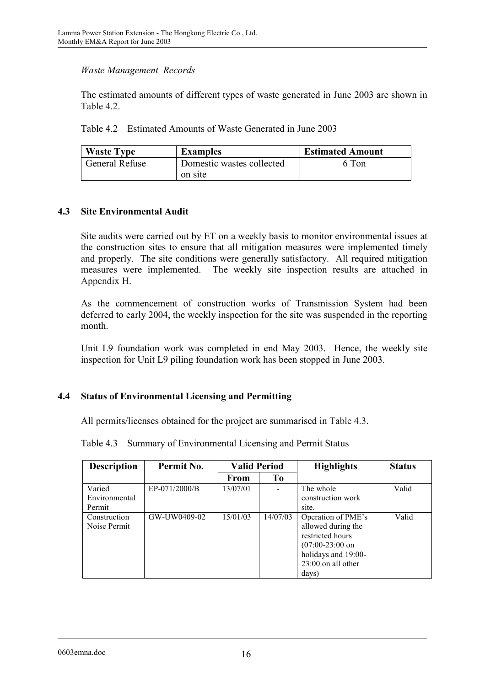### *Waste Management Records*

The estimated amounts of different types of waste generated in June 2003 are shown in Table 4.2.

Table 4.2 Estimated Amounts of Waste Generated in June 2003

| <b>Waste Type</b> | <b>Examples</b>           | <b>Estimated Amount</b> |
|-------------------|---------------------------|-------------------------|
| General Refuse    | Domestic wastes collected | 6 Ton                   |
|                   | on site                   |                         |

### **4.3 Site Environmental Audit**

Site audits were carried out by ET on a weekly basis to monitor environmental issues at the construction sites to ensure that all mitigation measures were implemented timely and properly. The site conditions were generally satisfactory. All required mitigation measures were implemented. The weekly site inspection results are attached in Appendix H.

As the commencement of construction works of Transmission System had been deferred to early 2004, the weekly inspection for the site was suspended in the reporting month.

Unit L9 foundation work was completed in end May 2003. Hence, the weekly site inspection for Unit L9 piling foundation work has been stopped in June 2003.

### **4.4 Status of Environmental Licensing and Permitting**

All permits/licenses obtained for the project are summarised in Table 4.3.

|  |  | Table 4.3 Summary of Environmental Licensing and Permit Status |  |
|--|--|----------------------------------------------------------------|--|
|--|--|----------------------------------------------------------------|--|

| <b>Description</b> | Permit No.    | <b>Valid Period</b> |                | <b>Highlights</b>   | <b>Status</b> |
|--------------------|---------------|---------------------|----------------|---------------------|---------------|
|                    |               | <b>From</b>         | T <sub>0</sub> |                     |               |
| Varied             | EP-071/2000/B | 13/07/01            |                | The whole           | Valid         |
| Environmental      |               |                     |                | construction work   |               |
| Permit             |               |                     |                | site.               |               |
| Construction       | GW-UW0409-02  | 15/01/03            | 14/07/03       | Operation of PME's  | Valid         |
| Noise Permit       |               |                     |                | allowed during the  |               |
|                    |               |                     |                | restricted hours    |               |
|                    |               |                     |                | $(07:00-23:00)$ on  |               |
|                    |               |                     |                | holidays and 19:00- |               |
|                    |               |                     |                | 23:00 on all other  |               |
|                    |               |                     |                | days)               |               |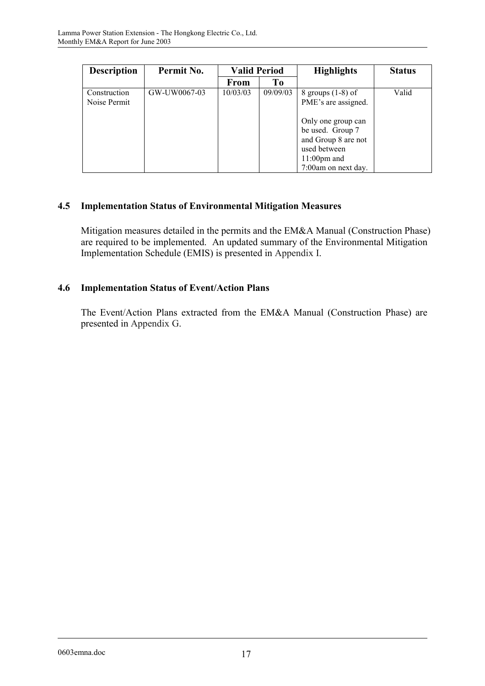| <b>Description</b>           | Permit No.   | <b>Valid Period</b> |          |                                                                                                                                                                             |       | <b>Highlights</b> | <b>Status</b> |
|------------------------------|--------------|---------------------|----------|-----------------------------------------------------------------------------------------------------------------------------------------------------------------------------|-------|-------------------|---------------|
|                              |              | From                | To       |                                                                                                                                                                             |       |                   |               |
| Construction<br>Noise Permit | GW-UW0067-03 | 10/03/03            | 09/09/03 | 8 groups $(1-8)$ of<br>PME's are assigned.<br>Only one group can<br>be used. Group 7<br>and Group 8 are not<br>used between<br>$11:00 \text{pm}$ and<br>7:00am on next day. | Valid |                   |               |

# **4.5 Implementation Status of Environmental Mitigation Measures**

Mitigation measures detailed in the permits and the EM&A Manual (Construction Phase) are required to be implemented. An updated summary of the Environmental Mitigation Implementation Schedule (EMIS) is presented in Appendix I.

### **4.6 Implementation Status of Event/Action Plans**

The Event/Action Plans extracted from the EM&A Manual (Construction Phase) are presented in Appendix G.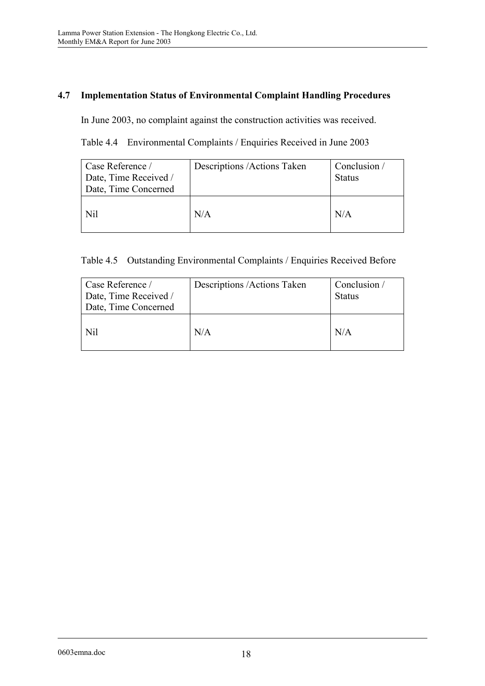# **4.7 Implementation Status of Environmental Complaint Handling Procedures**

In June 2003, no complaint against the construction activities was received.

# Table 4.4 Environmental Complaints / Enquiries Received in June 2003

| Case Reference /<br>Date, Time Received /<br>Date, Time Concerned | Descriptions /Actions Taken | Conclusion /<br><b>Status</b> |
|-------------------------------------------------------------------|-----------------------------|-------------------------------|
| Nil                                                               | N/A                         | N/A                           |

|  |  |  |  |  |  | Table 4.5 Outstanding Environmental Complaints / Enquiries Received Before |
|--|--|--|--|--|--|----------------------------------------------------------------------------|
|--|--|--|--|--|--|----------------------------------------------------------------------------|

| Case Reference /<br>Date, Time Received /<br>Date, Time Concerned | Descriptions / Actions Taken | Conclusion /<br><b>Status</b> |
|-------------------------------------------------------------------|------------------------------|-------------------------------|
| Nil                                                               | N/A                          | N/A                           |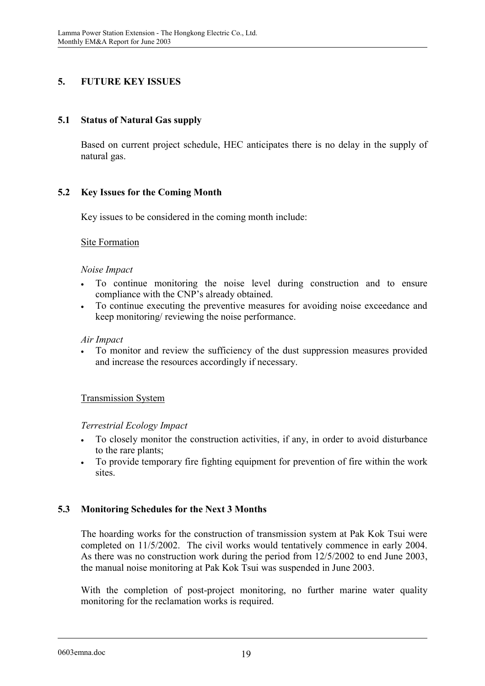# **5. FUTURE KEY ISSUES**

### **5.1 Status of Natural Gas supply**

Based on current project schedule, HEC anticipates there is no delay in the supply of natural gas.

### **5.2 Key Issues for the Coming Month**

Key issues to be considered in the coming month include:

### Site Formation

#### *Noise Impact*

- $\bullet$  To continue monitoring the noise level during construction and to ensure compliance with the CNP's already obtained.
- $\bullet$  To continue executing the preventive measures for avoiding noise exceedance and keep monitoring/ reviewing the noise performance.

#### *Air Impact*

- To monitor and review the sufficiency of the dust suppression measures provided and increase the resources accordingly if necessary.

### Transmission System

### *Terrestrial Ecology Impact*

- $\bullet$  To closely monitor the construction activities, if any, in order to avoid disturbance to the rare plants;
- $\bullet$  To provide temporary fire fighting equipment for prevention of fire within the work sites.

### **5.3 Monitoring Schedules for the Next 3 Months**

The hoarding works for the construction of transmission system at Pak Kok Tsui were completed on 11/5/2002. The civil works would tentatively commence in early 2004. As there was no construction work during the period from 12/5/2002 to end June 2003, the manual noise monitoring at Pak Kok Tsui was suspended in June 2003.

With the completion of post-project monitoring, no further marine water quality monitoring for the reclamation works is required.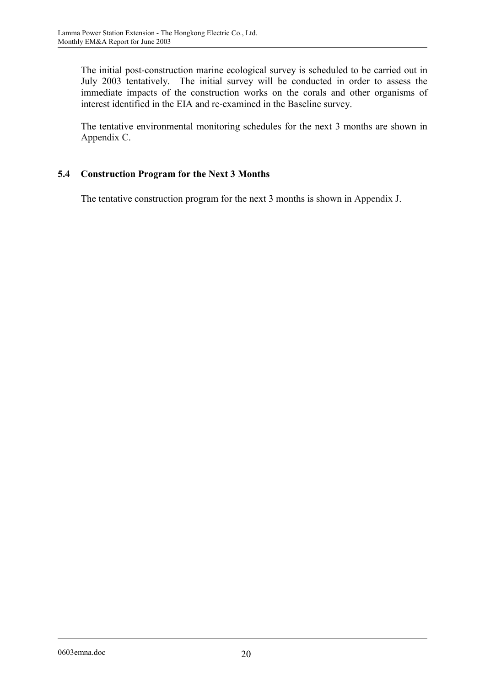The initial post-construction marine ecological survey is scheduled to be carried out in July 2003 tentatively. The initial survey will be conducted in order to assess the immediate impacts of the construction works on the corals and other organisms of interest identified in the EIA and re-examined in the Baseline survey.

The tentative environmental monitoring schedules for the next 3 months are shown in Appendix C.

### **5.4 Construction Program for the Next 3 Months**

The tentative construction program for the next 3 months is shown in Appendix J.